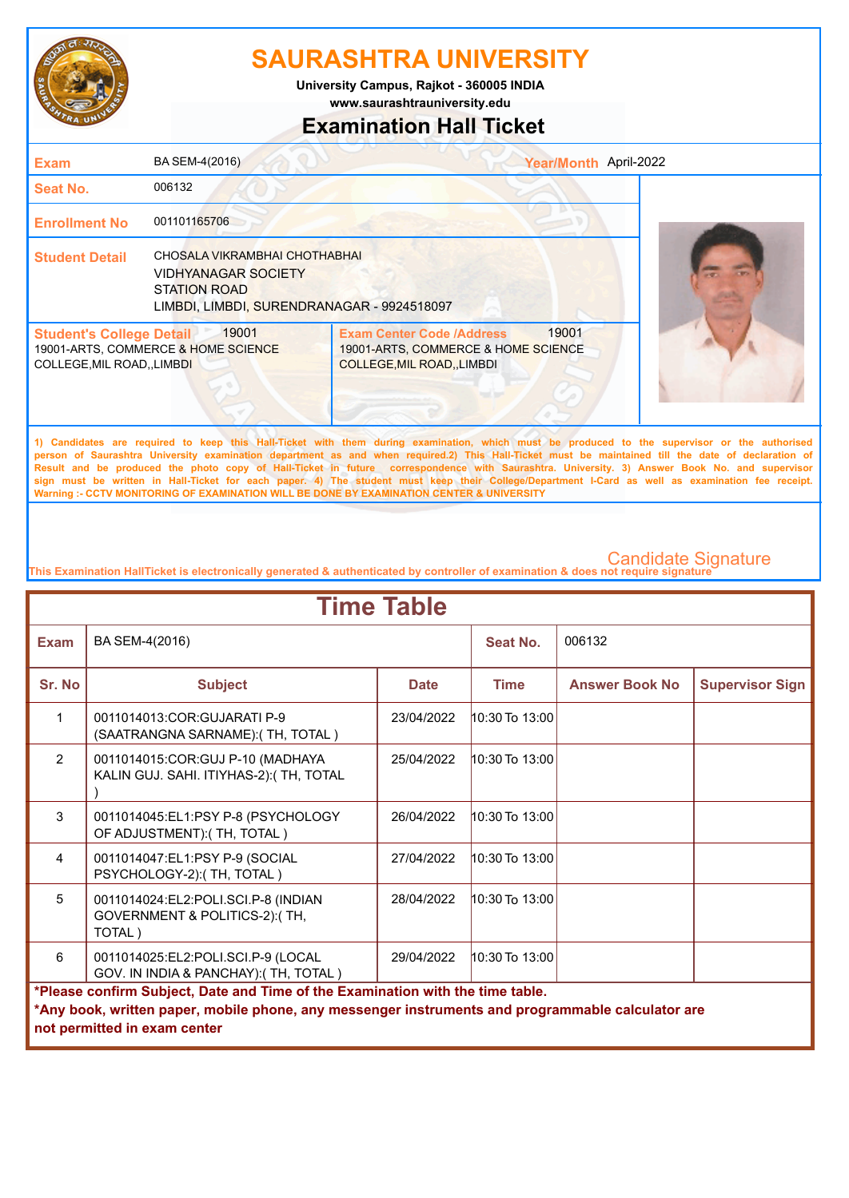

**www.saurashtrauniversity.edu University Campus, Rajkot - 360005 INDIA**

### **Examination Hall Ticket**

| <b>Exam</b>                                                    | BA SEM-4(2016)                                                                                                                   |                                                                                                                                                                                                                                                                                                                               | Year/Month April-2022 |  |
|----------------------------------------------------------------|----------------------------------------------------------------------------------------------------------------------------------|-------------------------------------------------------------------------------------------------------------------------------------------------------------------------------------------------------------------------------------------------------------------------------------------------------------------------------|-----------------------|--|
| <b>Seat No.</b>                                                | 006132                                                                                                                           |                                                                                                                                                                                                                                                                                                                               |                       |  |
| <b>Enrollment No</b>                                           | 001101165706                                                                                                                     |                                                                                                                                                                                                                                                                                                                               |                       |  |
| <b>Student Detail</b>                                          | CHOSALA VIKRAMBHAI CHOTHABHAI<br><b>VIDHYANAGAR SOCIETY</b><br><b>STATION ROAD</b><br>LIMBDI, LIMBDI, SURENDRANAGAR - 9924518097 |                                                                                                                                                                                                                                                                                                                               |                       |  |
| <b>Student's College Detail</b><br>COLLEGE, MIL ROAD, , LIMBDI | 19001<br>19001-ARTS, COMMERCE & HOME SCIENCE                                                                                     | <b>Exam Center Code /Address</b><br>19001-ARTS, COMMERCE & HOME SCIENCE<br>COLLEGE, MIL ROAD, , LIMBDI                                                                                                                                                                                                                        | 19001                 |  |
|                                                                |                                                                                                                                  | 1) Candidates are required to keep this Hall-Ticket with them during examination, which must be produced to the supervisor or the authorised<br>a success of According Haticagte constitution (discussed as and calculated ACTIME (Hall Walke according to according attraction of disclosured at the second of discussion of |                       |  |

**person of Saurashtra University examination department as and when required.2) This Hall-Ticket must be maintained till the date of declaration of Result and be produced the photo copy of Hall-Ticket in future correspondence with Saurashtra. University. 3) Answer Book No. and supervisor sign must be written in Hall-Ticket for each paper. 4) The student must keep their College/Department I-Card as well as examination fee receipt. Warning :- CCTV MONITORING OF EXAMINATION WILL BE DONE BY EXAMINATION CENTER & UNIVERSITY**

**This Examination HallTicket is electronically generated & authenticated by controller of examination & does not require signature** 

| <b>Time Table</b>                                                                                                                                                                                                   |                                                                                |             |                    |                       |                        |  |
|---------------------------------------------------------------------------------------------------------------------------------------------------------------------------------------------------------------------|--------------------------------------------------------------------------------|-------------|--------------------|-----------------------|------------------------|--|
| <b>Exam</b>                                                                                                                                                                                                         | BA SEM-4(2016)                                                                 |             | Seat No.           | 006132                |                        |  |
| Sr. No                                                                                                                                                                                                              | <b>Subject</b>                                                                 | <b>Date</b> | <b>Time</b>        | <b>Answer Book No</b> | <b>Supervisor Sign</b> |  |
| 1                                                                                                                                                                                                                   | 0011014013:COR:GUJARATI P-9<br>(SAATRANGNA SARNAME): (TH, TOTAL)               | 23/04/2022  | 10:30 To 13:00     |                       |                        |  |
| 2                                                                                                                                                                                                                   | 0011014015:COR:GUJ P-10 (MADHAYA<br>KALIN GUJ. SAHI. ITIYHAS-2): (TH, TOTAL    | 25/04/2022  | 10:30 To 13:00     |                       |                        |  |
| 3                                                                                                                                                                                                                   | 0011014045:EL1:PSY P-8 (PSYCHOLOGY<br>OF ADJUSTMENT): (TH, TOTAL)              | 26/04/2022  | 10:30 To 13:00     |                       |                        |  |
| $\overline{4}$                                                                                                                                                                                                      | 0011014047:EL1:PSY P-9 (SOCIAL<br>PSYCHOLOGY-2):(TH, TOTAL)                    | 27/04/2022  | $10:30$ To $13:00$ |                       |                        |  |
| 5                                                                                                                                                                                                                   | 0011014024:EL2:POLI.SCI.P-8 (INDIAN<br>GOVERNMENT & POLITICS-2):(TH,<br>TOTAL) | 28/04/2022  | $10:30$ To $13:00$ |                       |                        |  |
| 6                                                                                                                                                                                                                   | 0011014025:EL2:POLI.SCI.P-9 (LOCAL<br>GOV. IN INDIA & PANCHAY): (TH, TOTAL)    | 29/04/2022  | $10:30$ To $13:00$ |                       |                        |  |
| *Please confirm Subject, Date and Time of the Examination with the time table.<br>*Any book, written paper, mobile phone, any messenger instruments and programmable calculator are<br>not permitted in exam center |                                                                                |             |                    |                       |                        |  |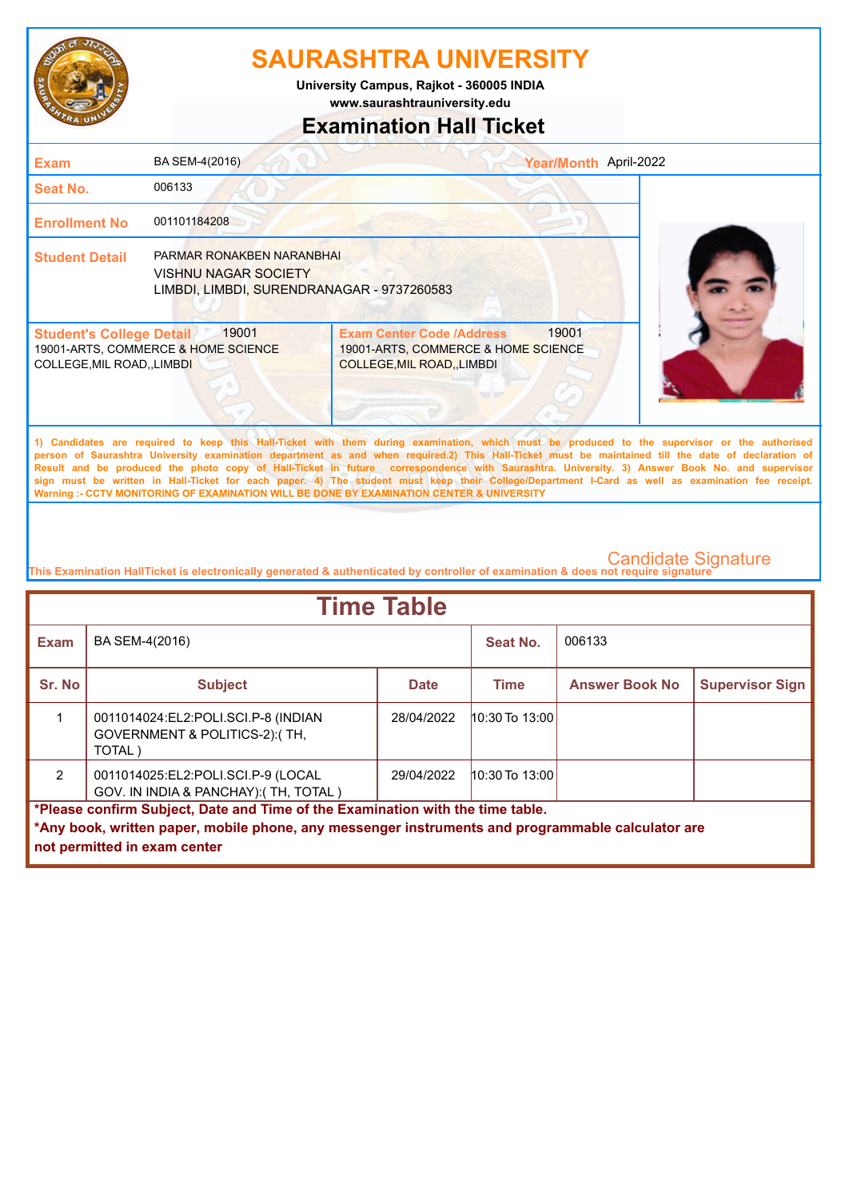

**www.saurashtrauniversity.edu University Campus, Rajkot - 360005 INDIA**

## **Examination Hall Ticket**

| <b>Exam</b>                                                    | BA SEM-4(2016)                                                                                         |                                                                                                               | Year/Month April-2022 |                                                                                                                                                                                                                                                                                                    |
|----------------------------------------------------------------|--------------------------------------------------------------------------------------------------------|---------------------------------------------------------------------------------------------------------------|-----------------------|----------------------------------------------------------------------------------------------------------------------------------------------------------------------------------------------------------------------------------------------------------------------------------------------------|
| Seat No.                                                       | 006133                                                                                                 |                                                                                                               |                       |                                                                                                                                                                                                                                                                                                    |
| <b>Enrollment No</b>                                           | 001101184208                                                                                           |                                                                                                               |                       |                                                                                                                                                                                                                                                                                                    |
| <b>Student Detail</b>                                          | PARMAR RONAKBEN NARANBHAI<br><b>VISHNU NAGAR SOCIETY</b><br>LIMBDI, LIMBDI, SURENDRANAGAR - 9737260583 |                                                                                                               |                       |                                                                                                                                                                                                                                                                                                    |
| <b>Student's College Detail</b><br>COLLEGE, MIL ROAD, , LIMBDI | 19001<br>19001-ARTS, COMMERCE & HOME SCIENCE                                                           | <b>Exam Center Code /Address</b><br>19001-ARTS, COMMERCE & HOME SCIENCE<br><b>COLLEGE, MIL ROAD, , LIMBDI</b> | 19001                 |                                                                                                                                                                                                                                                                                                    |
|                                                                |                                                                                                        |                                                                                                               |                       | 1) Candidates are required to keep this Hall-Ticket with them during examination, which must be produced to the supervisor or the authorised<br>nergen of Couraghtra University examination department as and whan required 2) This Unil Tighet must be mainteined till the date of dealeration of |

**person of Saurashtra University examination department as and when required.2) This Hall-Ticket must be maintained till the date of declaration of Result and be produced the photo copy of Hall-Ticket in future correspondence with Saurashtra. University. 3) Answer Book No. and supervisor sign must be written in Hall-Ticket for each paper. 4) The student must keep their College/Department I-Card as well as examination fee receipt. Warning :- CCTV MONITORING OF EXAMINATION WILL BE DONE BY EXAMINATION CENTER & UNIVERSITY**

**This Examination HallTicket is electronically generated & authenticated by controller of examination & does not require signature** 

| <b>Time Table</b>                                                                                 |                                                                                 |             |                    |                       |                        |  |
|---------------------------------------------------------------------------------------------------|---------------------------------------------------------------------------------|-------------|--------------------|-----------------------|------------------------|--|
| <b>Exam</b>                                                                                       | BA SEM-4(2016)                                                                  |             | Seat No.           | 006133                |                        |  |
| Sr. No                                                                                            | <b>Subject</b>                                                                  | <b>Date</b> | Time               | <b>Answer Book No</b> | <b>Supervisor Sign</b> |  |
|                                                                                                   | 0011014024:EL2:POLI.SCI.P-8 (INDIAN<br>GOVERNMENT & POLITICS-2): (TH.<br>TOTAL) | 28/04/2022  | $10:30$ To $13:00$ |                       |                        |  |
| $\mathcal{P}$                                                                                     | 0011014025:EL2:POLI.SCI.P-9 (LOCAL<br>GOV. IN INDIA & PANCHAY): (TH, TOTAL)     | 29/04/2022  | $10:30$ To $13:00$ |                       |                        |  |
| *Please confirm Subject, Date and Time of the Examination with the time table.                    |                                                                                 |             |                    |                       |                        |  |
| *Any book, written paper, mobile phone, any messenger instruments and programmable calculator are |                                                                                 |             |                    |                       |                        |  |
| not permitted in exam center                                                                      |                                                                                 |             |                    |                       |                        |  |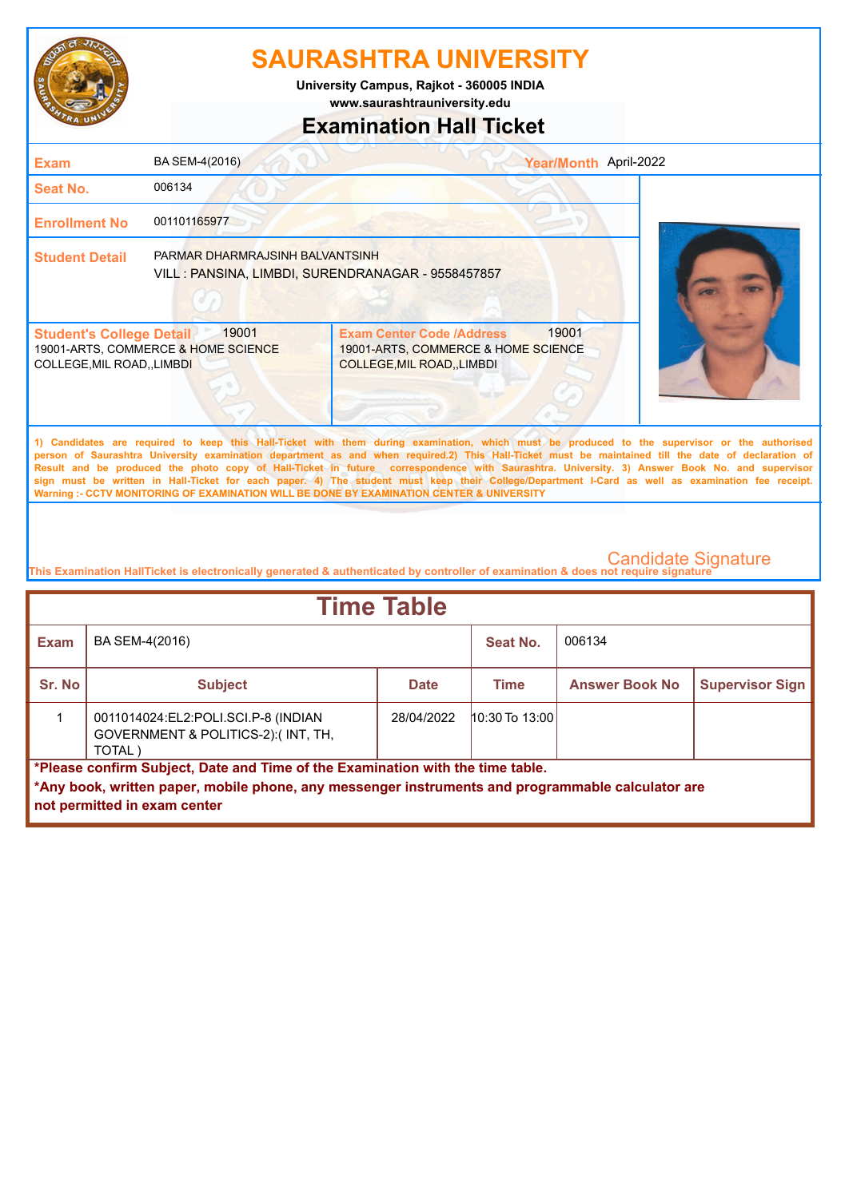

**www.saurashtrauniversity.edu University Campus, Rajkot - 360005 INDIA**

### **Examination Hall Ticket**

| <b>Exam</b>                                                    | BA SEM-4(2016)                                                                        |                                                                                                                                                                                                                                                                                                                                                                                                                                                                                                                                                                                                        | Year/Month April-2022 |
|----------------------------------------------------------------|---------------------------------------------------------------------------------------|--------------------------------------------------------------------------------------------------------------------------------------------------------------------------------------------------------------------------------------------------------------------------------------------------------------------------------------------------------------------------------------------------------------------------------------------------------------------------------------------------------------------------------------------------------------------------------------------------------|-----------------------|
| Seat No.                                                       | 006134                                                                                |                                                                                                                                                                                                                                                                                                                                                                                                                                                                                                                                                                                                        |                       |
| <b>Enrollment No</b>                                           | 001101165977                                                                          |                                                                                                                                                                                                                                                                                                                                                                                                                                                                                                                                                                                                        |                       |
| <b>Student Detail</b>                                          | PARMAR DHARMRAJSINH BALVANTSINH<br>VILL : PANSINA, LIMBDI, SURENDRANAGAR - 9558457857 |                                                                                                                                                                                                                                                                                                                                                                                                                                                                                                                                                                                                        |                       |
| <b>Student's College Detail</b><br>COLLEGE, MIL ROAD, , LIMBDI | 19001<br>19001-ARTS, COMMERCE & HOME SCIENCE                                          | 19001<br><b>Exam Center Code /Address</b><br>19001-ARTS, COMMERCE & HOME SCIENCE<br>COLLEGE, MIL ROAD, , LIMBDI                                                                                                                                                                                                                                                                                                                                                                                                                                                                                        |                       |
|                                                                |                                                                                       | 1) Candidates are required to keep this Hall-Ticket with them during examination, which must be produced to the supervisor or the authorised<br>person of Saurashtra University examination department as and when required.2) This Hall-Ticket must be maintained till the date of declaration of<br>Result and be produced the photo copy of Hall-Ticket in future correspondence with Saurashtra. University. 3) Answer Book No. and supervisor<br>sign must be written in Hall-Ticket for each paper. 4) The student must keep their College/Department I-Card as well as examination fee receipt. |                       |

**This Examination HallTicket is electronically generated & authenticated by controller of examination & does not require signature** 

**Warning :- CCTV MONITORING OF EXAMINATION WILL BE DONE BY EXAMINATION CENTER & UNIVERSITY**

| <b>Time Table</b>                                                                                                                                                                                                   |                                                                                              |             |                    |                       |                        |  |
|---------------------------------------------------------------------------------------------------------------------------------------------------------------------------------------------------------------------|----------------------------------------------------------------------------------------------|-------------|--------------------|-----------------------|------------------------|--|
| <b>Exam</b>                                                                                                                                                                                                         | BA SEM-4(2016)                                                                               |             | Seat No.           | 006134                |                        |  |
| Sr. No                                                                                                                                                                                                              | <b>Subject</b>                                                                               | <b>Date</b> | Time               | <b>Answer Book No</b> | <b>Supervisor Sign</b> |  |
|                                                                                                                                                                                                                     | 0011014024: EL2: POLI.SCI. P-8 (INDIAN<br>GOVERNMENT & POLITICS-2):(INT, TH,<br><b>TOTAL</b> | 28/04/2022  | $10:30$ To $13:00$ |                       |                        |  |
| *Please confirm Subject, Date and Time of the Examination with the time table.<br>*Any book, written paper, mobile phone, any messenger instruments and programmable calculator are<br>not permitted in exam center |                                                                                              |             |                    |                       |                        |  |